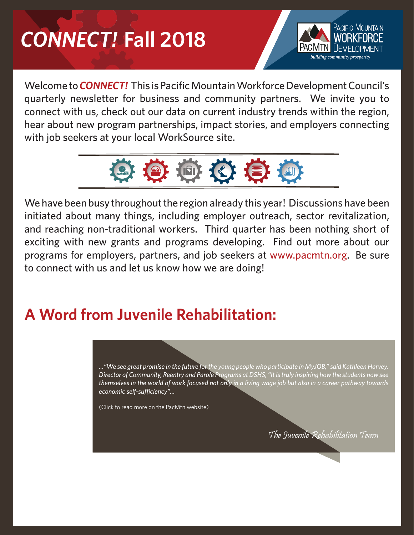## *CONNECT!* **Fall 2018**



Welcome to*CONNECT!* This is Pacific Mountain Workforce Development Council's quarterly newsletter for business and community partners. We invite you to connect with us, check out our data on current industry trends within the region, hear about new program partnerships, impact stories, and employers connecting with job seekers at your local WorkSource site.



We have been busy throughout the region already this year! Discussions have been initiated about many things, including employer outreach, sector revitalization, and reaching non-traditional workers. Third quarter has been nothing short of exciting with new grants and programs developing. Find out more about our programs for employers, partners, and job seekers at www.pacmtn.org. Be sure to connect with us and let us know how we are doing!

## **A Word from Juvenile Rehabilitation:**

*..."We see great promise in the future for the young people who participate in MyJOB," said Kathleen Harvey, [Director of Community, Reentry and Parole Programs at DSHS, "It is truly inspiring how the students now see](https://pacmtn.org/a-word-from-juvenile-rehabilitation-on-myjob/)  themselves in the world of work focused not only in a living wage job but also in a career pathway towards economic self-sufficiency"...*

(Click to read more on the PacMtn website)

The Juvenile Rehabilitation Team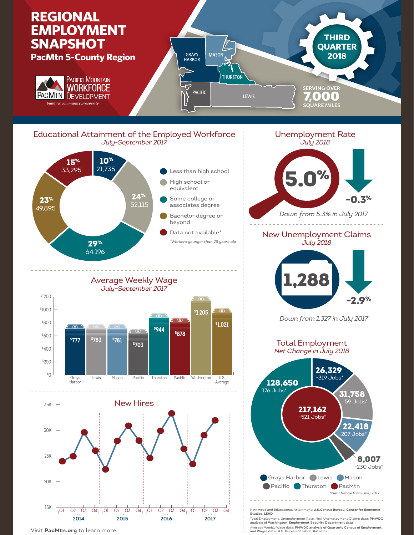



Visit **PacMtn.org** to learn more.

**2014 2015 2016 2017**

Total Employment, Unemployment Rate, New Unemployment Claims data: **PMWDC analysis of Washington Employment Security Department data** Average Weekly Wage data: **PMWDC analysis of Quarterly Census of Employment and Wages data—U.S. Bureau of Labor Statistics**